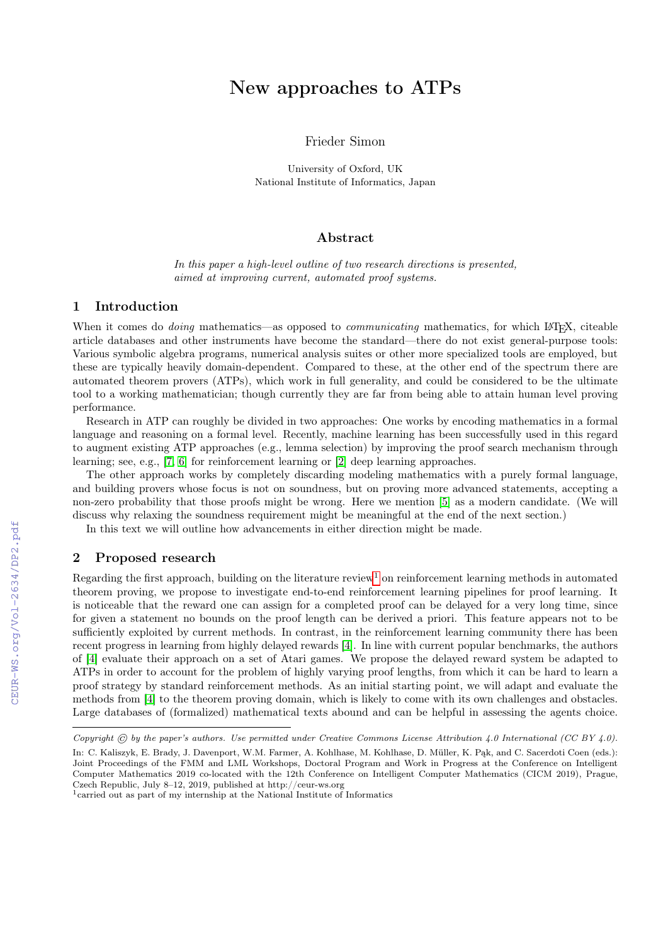# New approaches to ATPs

# Frieder Simon

University of Oxford, UK National Institute of Informatics, Japan

#### Abstract

In this paper a high-level outline of two research directions is presented, aimed at improving current, automated proof systems.

## 1 Introduction

When it comes do *doing* mathematics—as opposed to *communicating* mathematics, for which L<sup>A</sup>T<sub>E</sub>X, citeable article databases and other instruments have become the standard—there do not exist general-purpose tools: Various symbolic algebra programs, numerical analysis suites or other more specialized tools are employed, but these are typically heavily domain-dependent. Compared to these, at the other end of the spectrum there are automated theorem provers (ATPs), which work in full generality, and could be considered to be the ultimate tool to a working mathematician; though currently they are far from being able to attain human level proving performance.

Research in ATP can roughly be divided in two approaches: One works by encoding mathematics in a formal language and reasoning on a formal level. Recently, machine learning has been successfully used in this regard to augment existing ATP approaches (e.g., lemma selection) by improving the proof search mechanism through learning; see, e.g., [\[7,](#page--1-0) [6\]](#page--1-1) for reinforcement learning or [\[2\]](#page--1-2) deep learning approaches.

The other approach works by completely discarding modeling mathematics with a purely formal language, and building provers whose focus is not on soundness, but on proving more advanced statements, accepting a non-zero probability that those proofs might be wrong. Here we mention [\[5\]](#page--1-3) as a modern candidate. (We will discuss why relaxing the soundness requirement might be meaningful at the end of the next section.)

In this text we will outline how advancements in either direction might be made.

## 2 Proposed research

Regarding the first approach, building on the literature review<sup>[1](#page-0-0)</sup> on reinforcement learning methods in automated theorem proving, we propose to investigate end-to-end reinforcement learning pipelines for proof learning. It is noticeable that the reward one can assign for a completed proof can be delayed for a very long time, since for given a statement no bounds on the proof length can be derived a priori. This feature appears not to be sufficiently exploited by current methods. In contrast, in the reinforcement learning community there has been recent progress in learning from highly delayed rewards [\[4\]](#page--1-4). In line with current popular benchmarks, the authors of [\[4\]](#page--1-4) evaluate their approach on a set of Atari games. We propose the delayed reward system be adapted to ATPs in order to account for the problem of highly varying proof lengths, from which it can be hard to learn a proof strategy by standard reinforcement methods. As an initial starting point, we will adapt and evaluate the methods from [\[4\]](#page--1-4) to the theorem proving domain, which is likely to come with its own challenges and obstacles. Large databases of (formalized) mathematical texts abound and can be helpful in assessing the agents choice.

Copyright  $\odot$  by the paper's authors. Use permitted under Creative Commons License Attribution 4.0 International (CC BY 4.0).

In: C. Kaliszyk, E. Brady, J. Davenport, W.M. Farmer, A. Kohlhase, M. Kohlhase, D. Müller, K. Pąk, and C. Sacerdoti Coen (eds.): Joint Proceedings of the FMM and LML Workshops, Doctoral Program and Work in Progress at the Conference on Intelligent Computer Mathematics 2019 co-located with the 12th Conference on Intelligent Computer Mathematics (CICM 2019), Prague, Czech Republic, July 8–12, 2019, published at http://ceur-ws.org

<span id="page-0-0"></span><sup>1</sup>carried out as part of my internship at the National Institute of Informatics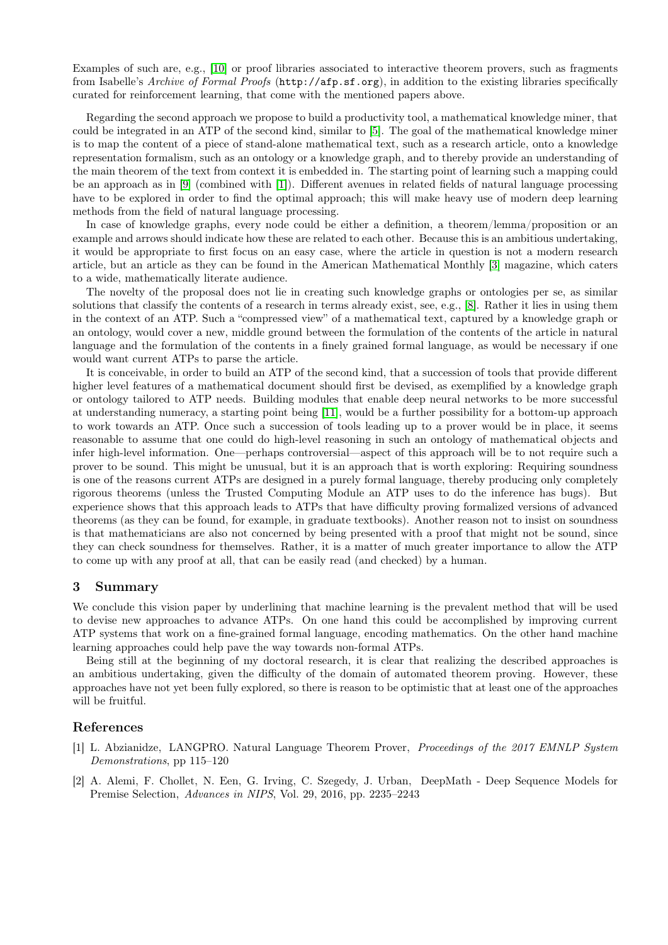Examples of such are, e.g., [\[10\]](#page-2-0) or proof libraries associated to interactive theorem provers, such as fragments from Isabelle's Archive of Formal Proofs (http://afp.sf.org), in addition to the existing libraries specifically curated for reinforcement learning, that come with the mentioned papers above.

Regarding the second approach we propose to build a productivity tool, a mathematical knowledge miner, that could be integrated in an ATP of the second kind, similar to [\[5\]](#page-2-1). The goal of the mathematical knowledge miner is to map the content of a piece of stand-alone mathematical text, such as a research article, onto a knowledge representation formalism, such as an ontology or a knowledge graph, and to thereby provide an understanding of the main theorem of the text from context it is embedded in. The starting point of learning such a mapping could be an approach as in [\[9\]](#page-2-2) (combined with [\[1\]](#page-1-0)). Different avenues in related fields of natural language processing have to be explored in order to find the optimal approach; this will make heavy use of modern deep learning methods from the field of natural language processing.

In case of knowledge graphs, every node could be either a definition, a theorem/lemma/proposition or an example and arrows should indicate how these are related to each other. Because this is an ambitious undertaking, it would be appropriate to first focus on an easy case, where the article in question is not a modern research article, but an article as they can be found in the American Mathematical Monthly [\[3\]](#page-2-3) magazine, which caters to a wide, mathematically literate audience.

The novelty of the proposal does not lie in creating such knowledge graphs or ontologies per se, as similar solutions that classify the contents of a research in terms already exist, see, e.g., [\[8\]](#page-2-4). Rather it lies in using them in the context of an ATP. Such a "compressed view" of a mathematical text, captured by a knowledge graph or an ontology, would cover a new, middle ground between the formulation of the contents of the article in natural language and the formulation of the contents in a finely grained formal language, as would be necessary if one would want current ATPs to parse the article.

It is conceivable, in order to build an ATP of the second kind, that a succession of tools that provide different higher level features of a mathematical document should first be devised, as exemplified by a knowledge graph or ontology tailored to ATP needs. Building modules that enable deep neural networks to be more successful at understanding numeracy, a starting point being [\[11\]](#page-2-5), would be a further possibility for a bottom-up approach to work towards an ATP. Once such a succession of tools leading up to a prover would be in place, it seems reasonable to assume that one could do high-level reasoning in such an ontology of mathematical objects and infer high-level information. One—perhaps controversial—aspect of this approach will be to not require such a prover to be sound. This might be unusual, but it is an approach that is worth exploring: Requiring soundness is one of the reasons current ATPs are designed in a purely formal language, thereby producing only completely rigorous theorems (unless the Trusted Computing Module an ATP uses to do the inference has bugs). But experience shows that this approach leads to ATPs that have difficulty proving formalized versions of advanced theorems (as they can be found, for example, in graduate textbooks). Another reason not to insist on soundness is that mathematicians are also not concerned by being presented with a proof that might not be sound, since they can check soundness for themselves. Rather, it is a matter of much greater importance to allow the ATP to come up with any proof at all, that can be easily read (and checked) by a human.

#### 3 Summary

We conclude this vision paper by underlining that machine learning is the prevalent method that will be used to devise new approaches to advance ATPs. On one hand this could be accomplished by improving current ATP systems that work on a fine-grained formal language, encoding mathematics. On the other hand machine learning approaches could help pave the way towards non-formal ATPs.

Being still at the beginning of my doctoral research, it is clear that realizing the described approaches is an ambitious undertaking, given the difficulty of the domain of automated theorem proving. However, these approaches have not yet been fully explored, so there is reason to be optimistic that at least one of the approaches will be fruitful.

### References

- <span id="page-1-0"></span>[1] L. Abzianidze, LANGPRO. Natural Language Theorem Prover, Proceedings of the 2017 EMNLP System Demonstrations, pp 115–120
- [2] A. Alemi, F. Chollet, N. Een, G. Irving, C. Szegedy, J. Urban, DeepMath Deep Sequence Models for Premise Selection, Advances in NIPS, Vol. 29, 2016, pp. 2235–2243